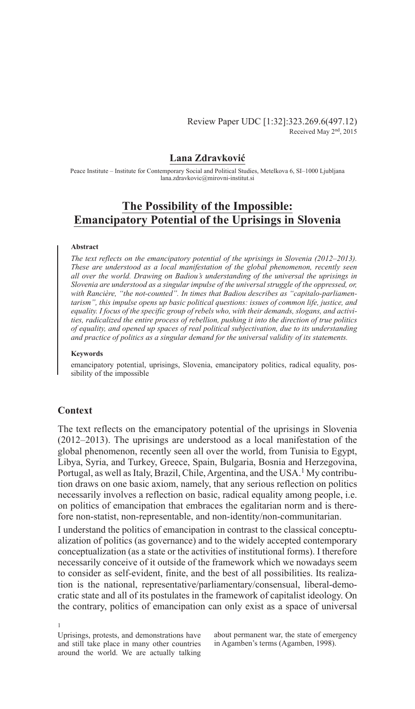Review Paper UDC [1:32]:323.269.6(497.12) Received May 2nd, 2015

## **Lana Zdravković**

Peace Institute – Institute for Contemporary Social and Political Studies, Metelkova 6, SI–1000 Ljubljana lana.zdravkovic@mirovni-institut.si

# **The Possibility of the Impossible: Emancipatory Potential of the Uprisings in Slovenia**

### **Abstract**

*The text reflects on the emancipatory potential of the uprisings in Slovenia (2012–2013). These are understood as a local manifestation of the global phenomenon, recently seen all over the world. Drawing on Badiou's understanding of the universal the uprisings in Slovenia are understood as a singular impulse of the universal struggle of the oppressed, or,*  with Rancière, "the not-counted". In times that Badiou describes as "capitalo-parliamen*tarism", this impulse opens up basic political questions: issues of common life, justice, and equality. I focus of the specific group of rebels who, with their demands, slogans, and activities, radicalized the entire process of rebellion, pushing it into the direction of true politics of equality, and opened up spaces of real political subjectivation, due to its understanding and practice of politics as a singular demand for the universal validity of its statements.*

#### **Keywords**

emancipatory potential, uprisings, Slovenia, emancipatory politics, radical equality, possibility of the impossible

### **Context**

1

The text reflects on the emancipatory potential of the uprisings in Slovenia (2012–2013). The uprisings are understood as a local manifestation of the global phenomenon, recently seen all over the world, from Tunisia to Egypt, Libya, Syria, and Turkey, Greece, Spain, Bulgaria, Bosnia and Herzegovina, Portugal, as well as Italy, Brazil, Chile, Argentina, and the USA.<sup>1</sup> My contribution draws on one basic axiom, namely, that any serious reflection on politics necessarily involves a reflection on basic, radical equality among people, i.e. on politics of emancipation that embraces the egalitarian norm and is therefore non-statist, non-representable, and non-identity/non-communitarian.

I understand the politics of emancipation in contrast to the classical conceptualization of politics (as governance) and to the widely accepted contemporary conceptualization (as a state or the activities of institutional forms). I therefore necessarily conceive of it outside of the framework which we nowadays seem to consider as self-evident, finite, and the best of all possibilities. Its realization is the national, representative/parliamentary/consensual, liberal-democratic state and all of its postulates in the framework of capitalist ideology. On the contrary, politics of emancipation can only exist as a space of universal

Uprisings, protests, and demonstrations have and still take place in many other countries around the world. We are actually talking

about permanent war, the state of emergency in Agamben's terms (Agamben, 1998).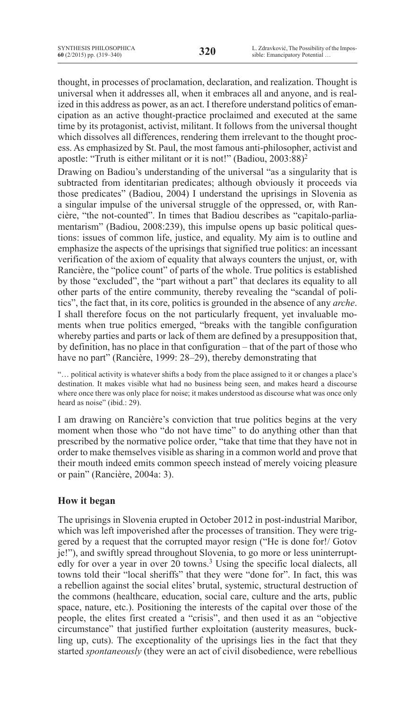thought, in processes of proclamation, declaration, and realization. Thought is universal when it addresses all, when it embraces all and anyone, and is realized in this address as power, as an act. I therefore understand politics of emancipation as an active thought-practice proclaimed and executed at the same time by its protagonist, activist, militant. It follows from the universal thought which dissolves all differences, rendering them irrelevant to the thought process. As emphasized by St. Paul, the most famous anti-philosopher, activist and apostle: "Truth is either militant or it is not!" (Badiou, 2003:88)2

Drawing on Badiou's understanding of the universal "as a singularity that is subtracted from identitarian predicates; although obviously it proceeds via those predicates" (Badiou, 2004) I understand the uprisings in Slovenia as a singular impulse of the universal struggle of the oppressed, or, with Rancière, "the not-counted". In times that Badiou describes as "capitalo-parliamentarism" (Badiou, 2008:239), this impulse opens up basic political questions: issues of common life, justice, and equality. My aim is to outline and emphasize the aspects of the uprisings that signified true politics: an incessant verification of the axiom of equality that always counters the unjust, or, with Rancière, the "police count" of parts of the whole. True politics is established by those "excluded", the "part without a part" that declares its equality to all other parts of the entire community, thereby revealing the "scandal of politics", the fact that, in its core, politics is grounded in the absence of any *arche*. I shall therefore focus on the not particularly frequent, yet invaluable moments when true politics emerged, "breaks with the tangible configuration whereby parties and parts or lack of them are defined by a presupposition that, by definition, has no place in that configuration – that of the part of those who have no part" (Rancière, 1999: 28–29), thereby demonstrating that

"… political activity is whatever shifts a body from the place assigned to it or changes a place's destination. It makes visible what had no business being seen, and makes heard a discourse where once there was only place for noise; it makes understood as discourse what was once only heard as noise" (ibid.: 29).

I am drawing on Rancière's conviction that true politics begins at the very moment when those who "do not have time" to do anything other than that prescribed by the normative police order, "take that time that they have not in order to make themselves visible as sharing in a common world and prove that their mouth indeed emits common speech instead of merely voicing pleasure or pain" (Rancière, 2004a: 3).

# **How it began**

The uprisings in Slovenia erupted in October 2012 in post-industrial Maribor, which was left impoverished after the processes of transition. They were triggered by a request that the corrupted mayor resign ("He is done for!/ Gotov je!"), and swiftly spread throughout Slovenia, to go more or less uninterruptedly for over a year in over 20 towns.<sup>3</sup> Using the specific local dialects, all towns told their "local sheriffs" that they were "done for". In fact, this was a rebellion against the social elites' brutal, systemic, structural destruction of the commons (healthcare, education, social care, culture and the arts, public space, nature, etc.). Positioning the interests of the capital over those of the people, the elites first created a "crisis", and then used it as an "objective circumstance" that justified further exploitation (austerity measures, buckling up, cuts). The exceptionality of the uprisings lies in the fact that they started *spontaneously* (they were an act of civil disobedience, were rebellious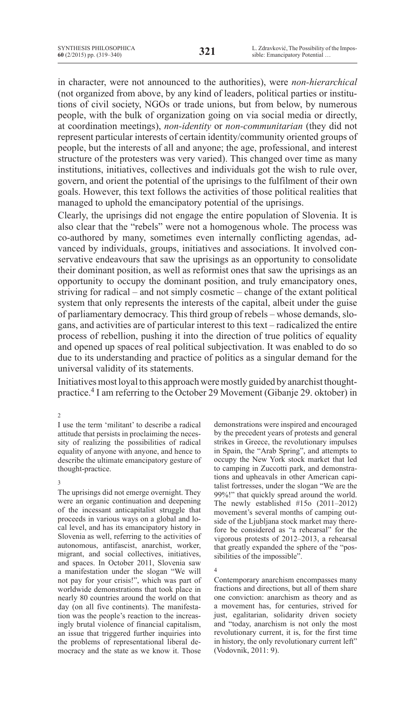in character, were not announced to the authorities), were *non-hierarchical* (not organized from above, by any kind of leaders, political parties or institutions of civil society, NGOs or trade unions, but from below, by numerous people, with the bulk of organization going on via social media or directly, at coordination meetings), *non-identity* or *non-communitarian* (they did not represent particular interests of certain identity/community oriented groups of people, but the interests of all and anyone; the age, professional, and interest structure of the protesters was very varied). This changed over time as many institutions, initiatives, collectives and individuals got the wish to rule over, govern, and orient the potential of the uprisings to the fulfilment of their own goals. However, this text follows the activities of those political realities that managed to uphold the emancipatory potential of the uprisings.

Clearly, the uprisings did not engage the entire population of Slovenia. It is also clear that the "rebels" were not a homogenous whole. The process was co-authored by many, sometimes even internally conflicting agendas, advanced by individuals, groups, initiatives and associations. It involved conservative endeavours that saw the uprisings as an opportunity to consolidate their dominant position, as well as reformist ones that saw the uprisings as an opportunity to occupy the dominant position, and truly emancipatory ones, striving for radical – and not simply cosmetic – change of the extant political system that only represents the interests of the capital, albeit under the guise of parliamentary democracy. This third group of rebels – whose demands, slogans, and activities are of particular interest to this text – radicalized the entire process of rebellion, pushing it into the direction of true politics of equality and opened up spaces of real political subjectivation. It was enabled to do so due to its understanding and practice of politics as a singular demand for the universal validity of its statements.

Initiatives most loyal to this approach were mostly guided by anarchist thoughtpractice.4 I am referring to the October 29 Movement (Gibanje 29. oktober) in

### 2

I use the term 'militant' to describe a radical attitude that persists in proclaiming the necessity of realizing the possibilities of radical equality of anyone with anyone, and hence to describe the ultimate emancipatory gesture of thought-practice.

#### 3

The uprisings did not emerge overnight. They were an organic continuation and deepening of the incessant anticapitalist struggle that proceeds in various ways on a global and local level, and has its emancipatory history in Slovenia as well, referring to the activities of autonomous, antifascist, anarchist, worker, migrant, and social collectives, initiatives, and spaces. In October 2011, Slovenia saw a manifestation under the slogan "We will not pay for your crisis!", which was part of worldwide demonstrations that took place in nearly 80 countries around the world on that day (on all five continents). The manifestation was the people's reaction to the increasingly brutal violence of financial capitalism, an issue that triggered further inquiries into the problems of representational liberal democracy and the state as we know it. Those

demonstrations were inspired and encouraged by the precedent years of protests and general strikes in Greece, the revolutionary impulses in Spain, the "Arab Spring", and attempts to occupy the New York stock market that led to camping in Zuccotti park, and demonstrations and upheavals in other American capitalist fortresses, under the slogan "We are the 99%!" that quickly spread around the world. The newly established #15o (2011–2012) movement's several months of camping outside of the Ljubljana stock market may therefore be considered as "a rehearsal" for the vigorous protests of 2012–2013, a rehearsal that greatly expanded the sphere of the "possibilities of the impossible".

4

Contemporary anarchism encompasses many fractions and directions, but all of them share one conviction: anarchism as theory and as a movement has, for centuries, strived for just, egalitarian, solidarity driven society and "today, anarchism is not only the most revolutionary current, it is, for the first time in history, the only revolutionary current left" (Vodovnik, 2011: 9).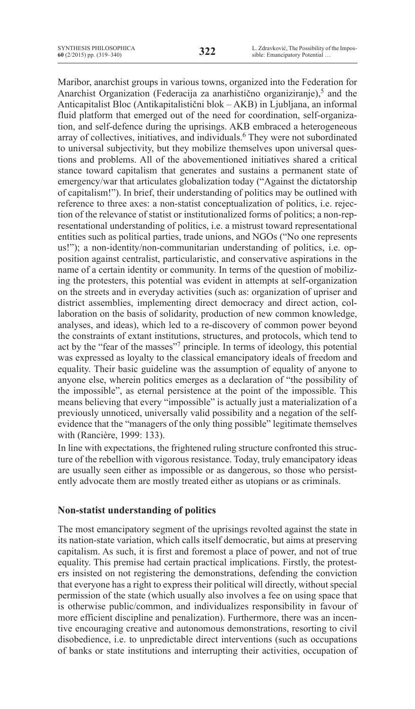Maribor, anarchist groups in various towns, organized into the Federation for Anarchist Organization (Federacija za anarhistično organiziranje),<sup>5</sup> and the Anticapitalist Bloc (Antikapitalistični blok – AKB) in Ljubljana, an informal fluid platform that emerged out of the need for coordination, self-organization, and self-defence during the uprisings. AKB embraced a heterogeneous array of collectives, initiatives, and individuals.<sup>6</sup> They were not subordinated to universal subjectivity, but they mobilize themselves upon universal questions and problems. All of the abovementioned initiatives shared a critical stance toward capitalism that generates and sustains a permanent state of emergency/war that articulates globalization today ("Against the dictatorship of capitalism!"). In brief, their understanding of politics may be outlined with reference to three axes: a non-statist conceptualization of politics, i.e. rejection of the relevance of statist or institutionalized forms of politics; a non-representational understanding of politics, i.e. a mistrust toward representational entities such as political parties, trade unions, and NGOs ("No one represents us!"); a non-identity/non-communitarian understanding of politics, i.e. opposition against centralist, particularistic, and conservative aspirations in the name of a certain identity or community. In terms of the question of mobilizing the protesters, this potential was evident in attempts at self-organization on the streets and in everyday activities (such as: organization of upriser and district assemblies, implementing direct democracy and direct action, collaboration on the basis of solidarity, production of new common knowledge, analyses, and ideas), which led to a re-discovery of common power beyond the constraints of extant institutions, structures, and protocols, which tend to act by the "fear of the masses"7 principle. In terms of ideology, this potential was expressed as loyalty to the classical emancipatory ideals of freedom and equality. Their basic guideline was the assumption of equality of anyone to anyone else, wherein politics emerges as a declaration of "the possibility of the impossible", as eternal persistence at the point of the impossible. This means believing that every "impossible" is actually just a materialization of a previously unnoticed, universally valid possibility and a negation of the selfevidence that the "managers of the only thing possible" legitimate themselves with (Rancière, 1999: 133).

In line with expectations, the frightened ruling structure confronted this structure of the rebellion with vigorous resistance. Today, truly emancipatory ideas are usually seen either as impossible or as dangerous, so those who persistently advocate them are mostly treated either as utopians or as criminals.

# **Non-statist understanding of politics**

The most emancipatory segment of the uprisings revolted against the state in its nation-state variation, which calls itself democratic, but aims at preserving capitalism. As such, it is first and foremost a place of power, and not of true equality. This premise had certain practical implications. Firstly, the protesters insisted on not registering the demonstrations, defending the conviction that everyone has a right to express their political will directly, without special permission of the state (which usually also involves a fee on using space that is otherwise public/common, and individualizes responsibility in favour of more efficient discipline and penalization). Furthermore, there was an incentive encouraging creative and autonomous demonstrations, resorting to civil disobedience, i.e. to unpredictable direct interventions (such as occupations of banks or state institutions and interrupting their activities, occupation of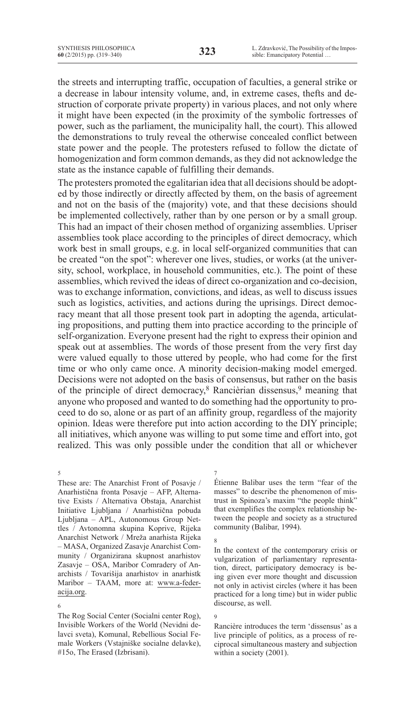the streets and interrupting traffic, occupation of faculties, a general strike or a decrease in labour intensity volume, and, in extreme cases, thefts and destruction of corporate private property) in various places, and not only where it might have been expected (in the proximity of the symbolic fortresses of power, such as the parliament, the municipality hall, the court). This allowed the demonstrations to truly reveal the otherwise concealed conflict between state power and the people. The protesters refused to follow the dictate of homogenization and form common demands, as they did not acknowledge the state as the instance capable of fulfilling their demands.

The protesters promoted the egalitarian idea that all decisions should be adopted by those indirectly or directly affected by them, on the basis of agreement and not on the basis of the (majority) vote, and that these decisions should be implemented collectively, rather than by one person or by a small group. This had an impact of their chosen method of organizing assemblies. Upriser assemblies took place according to the principles of direct democracy, which work best in small groups, e.g. in local self-organized communities that can be created "on the spot": wherever one lives, studies, or works (at the university, school, workplace, in household communities, etc.). The point of these assemblies, which revived the ideas of direct co-organization and co-decision, was to exchange information, convictions, and ideas, as well to discuss issues such as logistics, activities, and actions during the uprisings. Direct democracy meant that all those present took part in adopting the agenda, articulating propositions, and putting them into practice according to the principle of self-organization. Everyone present had the right to express their opinion and speak out at assemblies. The words of those present from the very first day were valued equally to those uttered by people, who had come for the first time or who only came once. A minority decision-making model emerged. Decisions were not adopted on the basis of consensus, but rather on the basis of the principle of direct democracy,<sup>8</sup> Rancièrian dissensus,<sup>9</sup> meaning that anyone who proposed and wanted to do something had the opportunity to proceed to do so, alone or as part of an affinity group, regardless of the majority opinion. Ideas were therefore put into action according to the DIY principle; all initiatives, which anyone was willing to put some time and effort into, got realized. This was only possible under the condition that all or whichever

7

8

9

5

These are: The Anarchist Front of Posavje / Anarhistična fronta Posavje – AFP, Alternative Exists / Alternativa Obstaja, Anarchist Initiative Ljubljana / Anarhistična pobuda Ljubljana – APL, Autonomous Group Nettles / Avtonomna skupina Koprive, Rijeka Anarchist Network / Mreža anarhista Rijeka – MASA, Organized Zasavje Anarchist Community / Organizirana skupnost anarhistov Zasavje – OSA, Maribor Comradery of Anarchists / Tovarišija anarhistov in anarhistk Maribor – TAAM, more at: www.a-federacija.org.

6

The Rog Social Center (Socialni center Rog), Invisible Workers of the World (Nevidni delavci sveta), Komunal, Rebellious Social Female Workers (Vstajniške socialne delavke), #15o, The Erased (Izbrisani).

Étienne Balibar uses the term "fear of the masses" to describe the phenomenon of mistrust in Spinoza's maxim "the people think" that exemplifies the complex relationship between the people and society as a structured community (Balibar, 1994).

In the context of the contemporary crisis or vulgarization of parliamentary representation, direct, participatory democracy is being given ever more thought and discussion not only in activist circles (where it has been practiced for a long time) but in wider public discourse, as well.

Rancière introduces the term 'dissensus' as a live principle of politics, as a process of reciprocal simultaneous mastery and subjection within a society (2001).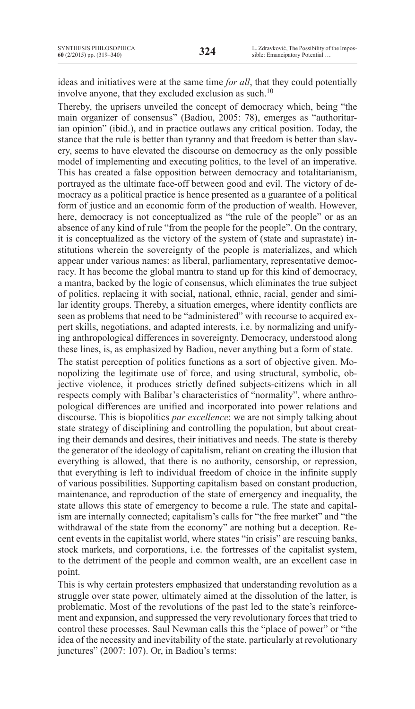ideas and initiatives were at the same time *for all*, that they could potentially involve anyone, that they excluded exclusion as such.10

Thereby, the uprisers unveiled the concept of democracy which, being "the main organizer of consensus" (Badiou, 2005: 78), emerges as "authoritarian opinion" (ibid.), and in practice outlaws any critical position. Today, the stance that the rule is better than tyranny and that freedom is better than slavery, seems to have elevated the discourse on democracy as the only possible model of implementing and executing politics, to the level of an imperative. This has created a false opposition between democracy and totalitarianism, portrayed as the ultimate face-off between good and evil. The victory of democracy as a political practice is hence presented as a guarantee of a political form of justice and an economic form of the production of wealth. However, here, democracy is not conceptualized as "the rule of the people" or as an absence of any kind of rule "from the people for the people". On the contrary, it is conceptualized as the victory of the system of (state and suprastate) institutions wherein the sovereignty of the people is materializes, and which appear under various names: as liberal, parliamentary, representative democracy. It has become the global mantra to stand up for this kind of democracy, a mantra, backed by the logic of consensus, which eliminates the true subject of politics, replacing it with social, national, ethnic, racial, gender and similar identity groups. Thereby, a situation emerges, where identity conflicts are seen as problems that need to be "administered" with recourse to acquired expert skills, negotiations, and adapted interests, i.e. by normalizing and unifying anthropological differences in sovereignty. Democracy, understood along these lines, is, as emphasized by Badiou, never anything but a form of state.

The statist perception of politics functions as a sort of objective given. Monopolizing the legitimate use of force, and using structural, symbolic, objective violence, it produces strictly defined subjects-citizens which in all respects comply with Balibar's characteristics of "normality", where anthropological differences are unified and incorporated into power relations and discourse. This is biopolitics *par excellence*: we are not simply talking about state strategy of disciplining and controlling the population, but about creating their demands and desires, their initiatives and needs. The state is thereby the generator of the ideology of capitalism, reliant on creating the illusion that everything is allowed, that there is no authority, censorship, or repression, that everything is left to individual freedom of choice in the infinite supply of various possibilities. Supporting capitalism based on constant production, maintenance, and reproduction of the state of emergency and inequality, the state allows this state of emergency to become a rule. The state and capitalism are internally connected; capitalism's calls for "the free market" and "the withdrawal of the state from the economy" are nothing but a deception. Recent events in the capitalist world, where states "in crisis" are rescuing banks, stock markets, and corporations, i.e. the fortresses of the capitalist system, to the detriment of the people and common wealth, are an excellent case in point.

This is why certain protesters emphasized that understanding revolution as a struggle over state power, ultimately aimed at the dissolution of the latter, is problematic. Most of the revolutions of the past led to the state's reinforcement and expansion, and suppressed the very revolutionary forces that tried to control these processes. Saul Newman calls this the "place of power" or "the idea of the necessity and inevitability of the state, particularly at revolutionary junctures" (2007: 107). Or, in Badiou's terms: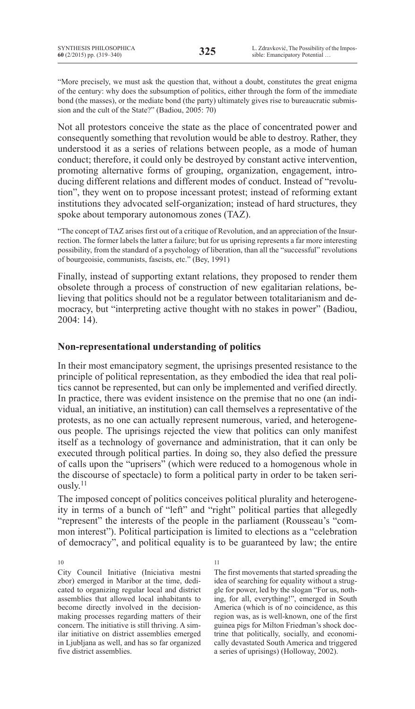"More precisely, we must ask the question that, without a doubt, constitutes the great enigma of the century: why does the subsumption of politics, either through the form of the immediate bond (the masses), or the mediate bond (the party) ultimately gives rise to bureaucratic submission and the cult of the State?" (Badiou, 2005: 70)

Not all protestors conceive the state as the place of concentrated power and consequently something that revolution would be able to destroy. Rather, they understood it as a series of relations between people, as a mode of human conduct; therefore, it could only be destroyed by constant active intervention, promoting alternative forms of grouping, organization, engagement, introducing different relations and different modes of conduct. Instead of "revolution", they went on to propose incessant protest; instead of reforming extant institutions they advocated self-organization; instead of hard structures, they spoke about temporary autonomous zones (TAZ).

"The concept of TAZ arises first out of a critique of Revolution, and an appreciation of the Insurrection. The former labels the latter a failure; but for us uprising represents a far more interesting possibility, from the standard of a psychology of liberation, than all the "successful" revolutions of bourgeoisie, communists, fascists, etc." (Bey, 1991)

Finally, instead of supporting extant relations, they proposed to render them obsolete through a process of construction of new egalitarian relations, believing that politics should not be a regulator between totalitarianism and democracy, but "interpreting active thought with no stakes in power" (Badiou, 2004: 14).

# **Non-representational understanding of politics**

In their most emancipatory segment, the uprisings presented resistance to the principle of political representation, as they embodied the idea that real politics cannot be represented, but can only be implemented and verified directly. In practice, there was evident insistence on the premise that no one (an individual, an initiative, an institution) can call themselves a representative of the protests, as no one can actually represent numerous, varied, and heterogeneous people. The uprisings rejected the view that politics can only manifest itself as a technology of governance and administration, that it can only be executed through political parties. In doing so, they also defied the pressure of calls upon the "uprisers" (which were reduced to a homogenous whole in the discourse of spectacle) to form a political party in order to be taken seriously.<sup>11</sup>

The imposed concept of politics conceives political plurality and heterogeneity in terms of a bunch of "left" and "right" political parties that allegedly "represent" the interests of the people in the parliament (Rousseau's "common interest"). Political participation is limited to elections as a "celebration of democracy", and political equality is to be guaranteed by law; the entire

10

City Council Initiative (Iniciativa mestni zbor) emerged in Maribor at the time, dedicated to organizing regular local and district assemblies that allowed local inhabitants to become directly involved in the decisionmaking processes regarding matters of their concern. The initiative is still thriving. A similar initiative on district assemblies emerged in Ljubljana as well, and has so far organized five district assemblies.

11

The first movements that started spreading the idea of searching for equality without a struggle for power, led by the slogan "For us, nothing, for all, everything!", emerged in South America (which is of no coincidence, as this region was, as is well-known, one of the first guinea pigs for Milton Friedman's shock doctrine that politically, socially, and economically devastated South America and triggered a series of uprisings) (Holloway, 2002).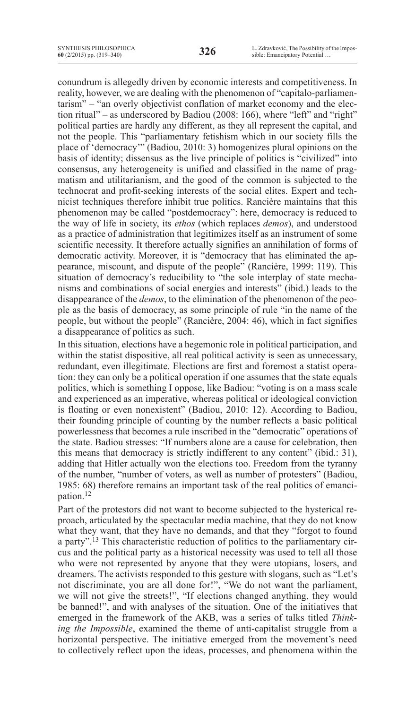conundrum is allegedly driven by economic interests and competitiveness. In reality, however, we are dealing with the phenomenon of "capitalo-parliamentarism" – "an overly objectivist conflation of market economy and the election ritual" – as underscored by Badiou (2008: 166), where "left" and "right" political parties are hardly any different, as they all represent the capital, and not the people. This "parliamentary fetishism which in our society fills the place of 'democracy'" (Badiou, 2010: 3) homogenizes plural opinions on the basis of identity; dissensus as the live principle of politics is "civilized" into consensus, any heterogeneity is unified and classified in the name of pragmatism and utilitarianism, and the good of the common is subjected to the technocrat and profit-seeking interests of the social elites. Expert and technicist techniques therefore inhibit true politics. Rancière maintains that this phenomenon may be called "postdemocracy": here, democracy is reduced to the way of life in society, its *ethos* (which replaces *demos*), and understood as a practice of administration that legitimizes itself as an instrument of some scientific necessity. It therefore actually signifies an annihilation of forms of democratic activity. Moreover, it is "democracy that has eliminated the appearance, miscount, and dispute of the people" (Rancière, 1999: 119). This situation of democracy's reducibility to "the sole interplay of state mechanisms and combinations of social energies and interests" (ibid.) leads to the disappearance of the *demos*, to the elimination of the phenomenon of the people as the basis of democracy, as some principle of rule "in the name of the people, but without the people" (Rancière, 2004: 46), which in fact signifies a disappearance of politics as such.

In this situation, elections have a hegemonic role in political participation, and within the statist dispositive, all real political activity is seen as unnecessary, redundant, even illegitimate. Elections are first and foremost a statist operation: they can only be a political operation if one assumes that the state equals politics, which is something I oppose, like Badiou: "voting is on a mass scale and experienced as an imperative, whereas political or ideological conviction is floating or even nonexistent" (Badiou, 2010: 12). According to Badiou, their founding principle of counting by the number reflects a basic political powerlessness that becomes a rule inscribed in the "democratic" operations of the state. Badiou stresses: "If numbers alone are a cause for celebration, then this means that democracy is strictly indifferent to any content" (ibid.: 31), adding that Hitler actually won the elections too. Freedom from the tyranny of the number, "number of voters, as well as number of protesters" (Badiou, 1985: 68) therefore remains an important task of the real politics of emancipation.12

Part of the protestors did not want to become subjected to the hysterical reproach, articulated by the spectacular media machine, that they do not know what they want, that they have no demands, and that they "forgot to found a party".13 This characteristic reduction of politics to the parliamentary circus and the political party as a historical necessity was used to tell all those who were not represented by anyone that they were utopians, losers, and dreamers. The activists responded to this gesture with slogans, such as "Let's not discriminate, you are all done for!", "We do not want the parliament, we will not give the streets!", "If elections changed anything, they would be banned!", and with analyses of the situation. One of the initiatives that emerged in the framework of the AKB, was a series of talks titled *Thinking the Impossible*, examined the theme of anti-capitalist struggle from a horizontal perspective. The initiative emerged from the movement's need to collectively reflect upon the ideas, processes, and phenomena within the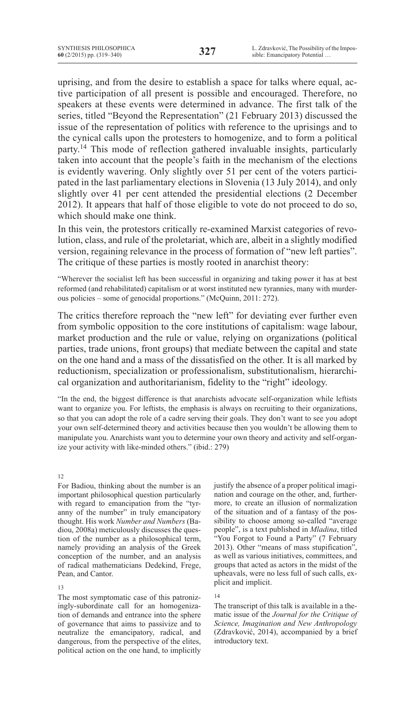uprising, and from the desire to establish a space for talks where equal, active participation of all present is possible and encouraged. Therefore, no speakers at these events were determined in advance. The first talk of the series, titled "Beyond the Representation" (21 February 2013) discussed the issue of the representation of politics with reference to the uprisings and to the cynical calls upon the protesters to homogenize, and to form a political party.<sup>14</sup> This mode of reflection gathered invaluable insights, particularly taken into account that the people's faith in the mechanism of the elections is evidently wavering. Only slightly over 51 per cent of the voters participated in the last parliamentary elections in Slovenia (13 July 2014), and only slightly over 41 per cent attended the presidential elections (2 December 2012). It appears that half of those eligible to vote do not proceed to do so, which should make one think.

In this vein, the protestors critically re-examined Marxist categories of revolution, class, and rule of the proletariat, which are, albeit in a slightly modified version, regaining relevance in the process of formation of "new left parties". The critique of these parties is mostly rooted in anarchist theory:

"Wherever the socialist left has been successful in organizing and taking power it has at best reformed (and rehabilitated) capitalism or at worst instituted new tyrannies, many with murderous policies – some of genocidal proportions." (McQuinn, 2011: 272).

The critics therefore reproach the "new left" for deviating ever further even from symbolic opposition to the core institutions of capitalism: wage labour, market production and the rule or value, relying on organizations (political parties, trade unions, front groups) that mediate between the capital and state on the one hand and a mass of the dissatisfied on the other. It is all marked by reductionism, specialization or professionalism, substitutionalism, hierarchical organization and authoritarianism, fidelity to the "right" ideology.

"In the end, the biggest difference is that anarchists advocate self-organization while leftists want to organize you. For leftists, the emphasis is always on recruiting to their organizations, so that you can adopt the role of a cadre serving their goals. They don't want to see you adopt your own self-determined theory and activities because then you wouldn't be allowing them to manipulate you. Anarchists want you to determine your own theory and activity and self-organize your activity with like-minded others." (ibid.: 279)

### 12

For Badiou, thinking about the number is an important philosophical question particularly with regard to emancipation from the "tyranny of the number" in truly emancipatory thought. His work *Number and Numbers* (Badiou, 2008a) meticulously discusses the question of the number as a philosophical term, namely providing an analysis of the Greek conception of the number, and an analysis of radical mathematicians Dedekind, Frege, Pean, and Cantor.

#### 13

The most symptomatic case of this patronizingly-subordinate call for an homogenization of demands and entrance into the sphere of governance that aims to passivize and to neutralize the emancipatory, radical, and dangerous, from the perspective of the elites, political action on the one hand, to implicitly justify the absence of a proper political imagination and courage on the other, and, furthermore, to create an illusion of normalization of the situation and of a fantasy of the possibility to choose among so-called "average people", is a text published in *Mladina*, titled "You Forgot to Found a Party" (7 February 2013). Other "means of mass stupification", as well as various initiatives, committees, and groups that acted as actors in the midst of the upheavals, were no less full of such calls, explicit and implicit.

### 14

The transcript of this talk is available in a thematic issue of the *Journal for the Critique of Science, Imagination and New Anthropology* (Zdravković, 2014), accompanied by a brief introductory text.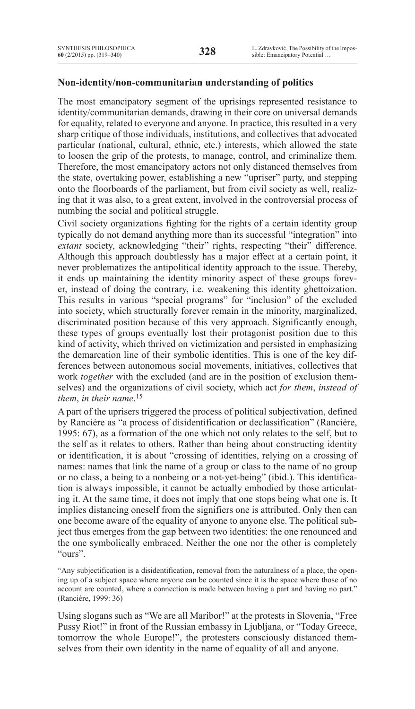# **Non-identity/non-communitarian understanding of politics**

The most emancipatory segment of the uprisings represented resistance to identity/communitarian demands, drawing in their core on universal demands for equality, related to everyone and anyone. In practice, this resulted in a very sharp critique of those individuals, institutions, and collectives that advocated particular (national, cultural, ethnic, etc.) interests, which allowed the state to loosen the grip of the protests, to manage, control, and criminalize them. Therefore, the most emancipatory actors not only distanced themselves from the state, overtaking power, establishing a new "upriser" party, and stepping onto the floorboards of the parliament, but from civil society as well, realizing that it was also, to a great extent, involved in the controversial process of numbing the social and political struggle.

Civil society organizations fighting for the rights of a certain identity group typically do not demand anything more than its successful "integration" into *extant* society, acknowledging "their" rights, respecting "their" difference. Although this approach doubtlessly has a major effect at a certain point, it never problematizes the antipolitical identity approach to the issue. Thereby, it ends up maintaining the identity minority aspect of these groups forever, instead of doing the contrary, i.e. weakening this identity ghettoization. This results in various "special programs" for "inclusion" of the excluded into society, which structurally forever remain in the minority, marginalized, discriminated position because of this very approach. Significantly enough, these types of groups eventually lost their protagonist position due to this kind of activity, which thrived on victimization and persisted in emphasizing the demarcation line of their symbolic identities. This is one of the key differences between autonomous social movements, initiatives, collectives that work *together* with the excluded (and are in the position of exclusion themselves) and the organizations of civil society, which act *for them*, *instead of them*, *in their name*. 15

A part of the uprisers triggered the process of political subjectivation, defined by Rancière as "a process of disidentification or declassification" (Rancière, 1995: 67), as a formation of the one which not only relates to the self, but to the self as it relates to others. Rather than being about constructing identity or identification, it is about "crossing of identities, relying on a crossing of names: names that link the name of a group or class to the name of no group or no class, a being to a nonbeing or a not-yet-being" (ibid.). This identification is always impossible, it cannot be actually embodied by those articulating it. At the same time, it does not imply that one stops being what one is. It implies distancing oneself from the signifiers one is attributed. Only then can one become aware of the equality of anyone to anyone else. The political subject thus emerges from the gap between two identities: the one renounced and the one symbolically embraced. Neither the one nor the other is completely "ours".

"Any subjectification is a disidentification, removal from the naturalness of a place, the opening up of a subject space where anyone can be counted since it is the space where those of no account are counted, where a connection is made between having a part and having no part." (Rancière, 1999: 36)

Using slogans such as "We are all Maribor!" at the protests in Slovenia, "Free Pussy Riot!" in front of the Russian embassy in Ljubljana, or "Today Greece, tomorrow the whole Europe!", the protesters consciously distanced themselves from their own identity in the name of equality of all and anyone.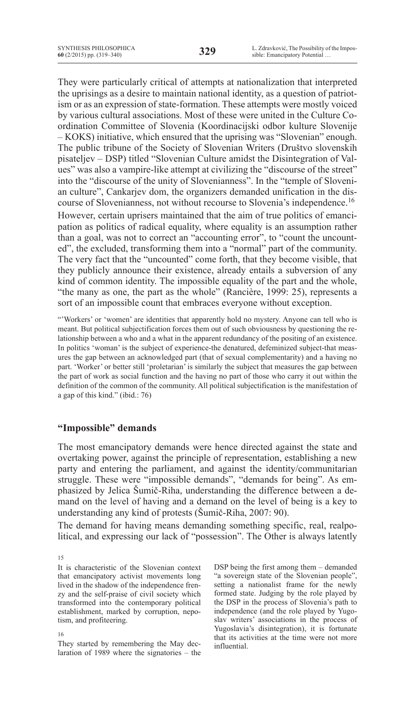They were particularly critical of attempts at nationalization that interpreted the uprisings as a desire to maintain national identity, as a question of patriotism or as an expression of state-formation. These attempts were mostly voiced by various cultural associations. Most of these were united in the Culture Coordination Committee of Slovenia (Koordinacijski odbor kulture Slovenije – KOKS) initiative, which ensured that the uprising was "Slovenian" enough. The public tribune of the Society of Slovenian Writers (Društvo slovenskih pisateljev – DSP) titled "Slovenian Culture amidst the Disintegration of Values" was also a vampire-like attempt at civilizing the "discourse of the street" into the "discourse of the unity of Slovenianness". In the "temple of Slovenian culture", Cankarjev dom, the organizers demanded unification in the discourse of Slovenianness, not without recourse to Slovenia's independence.16 However, certain uprisers maintained that the aim of true politics of emancipation as politics of radical equality, where equality is an assumption rather than a goal, was not to correct an "accounting error", to "count the uncounted", the excluded, transforming them into a "normal" part of the community. The very fact that the "uncounted" come forth, that they become visible, that they publicly announce their existence, already entails a subversion of any kind of common identity. The impossible equality of the part and the whole, "the many as one, the part as the whole" (Rancière, 1999: 25), represents a sort of an impossible count that embraces everyone without exception.

"'Workers' or 'women' are identities that apparently hold no mystery. Anyone can tell who is meant. But political subjectification forces them out of such obviousness by questioning the relationship between a who and a what in the apparent redundancy of the positing of an existence. In politics 'woman' is the subject of experience-the denatured, defeminized subject-that measures the gap between an acknowledged part (that of sexual complementarity) and a having no part. 'Worker' or better still 'proletarian' is similarly the subject that measures the gap between the part of work as social function and the having no part of those who carry it out within the definition of the common of the community. All political subjectification is the manifestation of a gap of this kind." (ibid.: 76)

# **"Impossible" demands**

The most emancipatory demands were hence directed against the state and overtaking power, against the principle of representation, establishing a new party and entering the parliament, and against the identity/communitarian struggle. These were "impossible demands", "demands for being". As emphasized by Jelica Šumič-Riha, understanding the difference between a demand on the level of having and a demand on the level of being is a key to understanding any kind of protests (Šumič-Riha, 2007: 90).

The demand for having means demanding something specific, real, realpolitical, and expressing our lack of "possession". The Other is always latently

They started by remembering the May declaration of 1989 where the signatories – the DSP being the first among them – demanded "a sovereign state of the Slovenian people", setting a nationalist frame for the newly formed state. Judging by the role played by the DSP in the process of Slovenia's path to independence (and the role played by Yugoslav writers' associations in the process of Yugoslavia's disintegration), it is fortunate that its activities at the time were not more influential.

<sup>15</sup>

It is characteristic of the Slovenian context that emancipatory activist movements long lived in the shadow of the independence frenzy and the self-praise of civil society which transformed into the contemporary political establishment, marked by corruption, nepotism, and profiteering.

<sup>16</sup>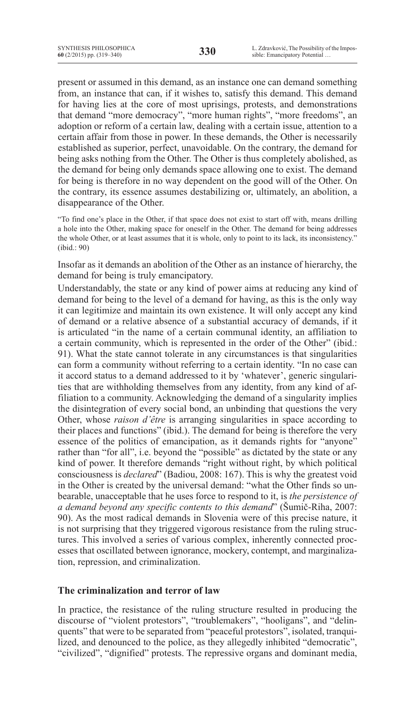present or assumed in this demand, as an instance one can demand something from, an instance that can, if it wishes to, satisfy this demand. This demand for having lies at the core of most uprisings, protests, and demonstrations that demand "more democracy", "more human rights", "more freedoms", an adoption or reform of a certain law, dealing with a certain issue, attention to a certain affair from those in power. In these demands, the Other is necessarily established as superior, perfect, unavoidable. On the contrary, the demand for being asks nothing from the Other. The Other is thus completely abolished, as the demand for being only demands space allowing one to exist. The demand for being is therefore in no way dependent on the good will of the Other. On the contrary, its essence assumes destabilizing or, ultimately, an abolition, a disappearance of the Other.

"To find one's place in the Other, if that space does not exist to start off with, means drilling a hole into the Other, making space for oneself in the Other. The demand for being addresses the whole Other, or at least assumes that it is whole, only to point to its lack, its inconsistency." (ibid.: 90)

Insofar as it demands an abolition of the Other as an instance of hierarchy, the demand for being is truly emancipatory.

Understandably, the state or any kind of power aims at reducing any kind of demand for being to the level of a demand for having, as this is the only way it can legitimize and maintain its own existence. It will only accept any kind of demand or a relative absence of a substantial accuracy of demands, if it is articulated "in the name of a certain communal identity, an affiliation to a certain community, which is represented in the order of the Other" (ibid.: 91). What the state cannot tolerate in any circumstances is that singularities can form a community without referring to a certain identity. "In no case can it accord status to a demand addressed to it by 'whatever', generic singularities that are withholding themselves from any identity, from any kind of affiliation to a community. Acknowledging the demand of a singularity implies the disintegration of every social bond, an unbinding that questions the very Other, whose *raison d'être* is arranging singularities in space according to their places and functions" (ibid.). The demand for being is therefore the very essence of the politics of emancipation, as it demands rights for "anyone" rather than "for all", i.e. beyond the "possible" as dictated by the state or any kind of power. It therefore demands "right without right, by which political consciousness is *declared*" (Badiou, 2008: 167). This is why the greatest void in the Other is created by the universal demand: "what the Other finds so unbearable, unacceptable that he uses force to respond to it, is *the persistence of a demand beyond any specific contents to this demand*" (Šumič-Riha, 2007: 90). As the most radical demands in Slovenia were of this precise nature, it is not surprising that they triggered vigorous resistance from the ruling structures. This involved a series of various complex, inherently connected processes that oscillated between ignorance, mockery, contempt, and marginalization, repression, and criminalization.

# **The criminalization and terror of law**

In practice, the resistance of the ruling structure resulted in producing the discourse of "violent protestors", "troublemakers", "hooligans", and "delinquents" that were to be separated from "peaceful protestors", isolated, tranquilized, and denounced to the police, as they allegedly inhibited "democratic", "civilized", "dignified" protests. The repressive organs and dominant media,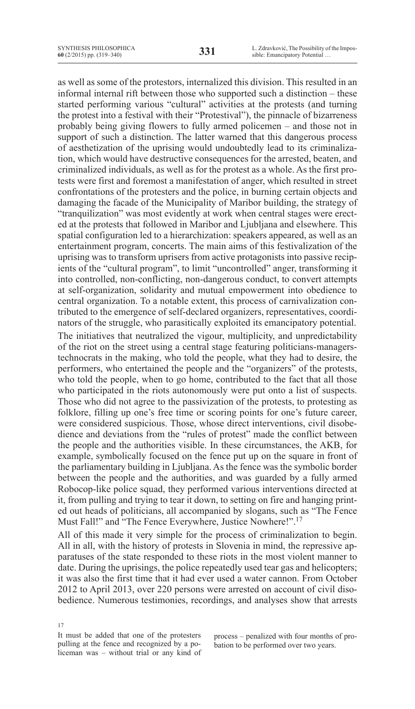as well as some of the protestors, internalized this division. This resulted in an informal internal rift between those who supported such a distinction – these started performing various "cultural" activities at the protests (and turning the protest into a festival with their "Protestival"), the pinnacle of bizarreness probably being giving flowers to fully armed policemen – and those not in support of such a distinction. The latter warned that this dangerous process of aesthetization of the uprising would undoubtedly lead to its criminalization, which would have destructive consequences for the arrested, beaten, and criminalized individuals, as well as for the protest as a whole. As the first protests were first and foremost a manifestation of anger, which resulted in street confrontations of the protesters and the police, in burning certain objects and damaging the facade of the Municipality of Maribor building, the strategy of "tranquilization" was most evidently at work when central stages were erected at the protests that followed in Maribor and Ljubljana and elsewhere. This spatial configuration led to a hierarchization: speakers appeared, as well as an entertainment program, concerts. The main aims of this festivalization of the uprising was to transform uprisers from active protagonists into passive recipients of the "cultural program", to limit "uncontrolled" anger, transforming it into controlled, non-conflicting, non-dangerous conduct, to convert attempts at self-organization, solidarity and mutual empowerment into obedience to central organization. To a notable extent, this process of carnivalization contributed to the emergence of self-declared organizers, representatives, coordinators of the struggle, who parasitically exploited its emancipatory potential. The initiatives that neutralized the vigour, multiplicity, and unpredictability of the riot on the street using a central stage featuring politicians-managerstechnocrats in the making, who told the people, what they had to desire, the performers, who entertained the people and the "organizers" of the protests, who told the people, when to go home, contributed to the fact that all those who participated in the riots autonomously were put onto a list of suspects. Those who did not agree to the passivization of the protests, to protesting as folklore, filling up one's free time or scoring points for one's future career, were considered suspicious. Those, whose direct interventions, civil disobedience and deviations from the "rules of protest" made the conflict between the people and the authorities visible. In these circumstances, the AKB, for example, symbolically focused on the fence put up on the square in front of the parliamentary building in Ljubljana. As the fence was the symbolic border between the people and the authorities, and was guarded by a fully armed Robocop-like police squad, they performed various interventions directed at it, from pulling and trying to tear it down, to setting on fire and hanging printed out heads of politicians, all accompanied by slogans, such as "The Fence Must Fall!" and "The Fence Everywhere, Justice Nowhere!".17

All of this made it very simple for the process of criminalization to begin. All in all, with the history of protests in Slovenia in mind, the repressive apparatuses of the state responded to these riots in the most violent manner to date. During the uprisings, the police repeatedly used tear gas and helicopters; it was also the first time that it had ever used a water cannon. From October 2012 to April 2013, over 220 persons were arrested on account of civil disobedience. Numerous testimonies, recordings, and analyses show that arrests

17 It must be added that one of the protesters pulling at the fence and recognized by a policeman was – without trial or any kind of

process – penalized with four months of probation to be performed over two years.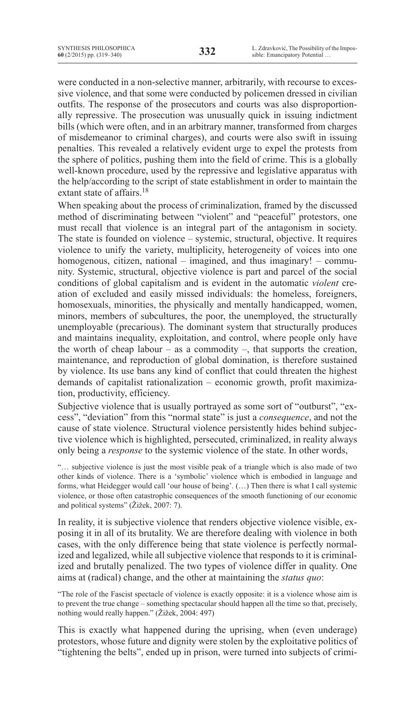were conducted in a non-selective manner, arbitrarily, with recourse to excessive violence, and that some were conducted by policemen dressed in civilian outfits. The response of the prosecutors and courts was also disproportionally repressive. The prosecution was unusually quick in issuing indictment bills (which were often, and in an arbitrary manner, transformed from charges of misdemeanor to criminal charges), and courts were also swift in issuing penalties. This revealed a relatively evident urge to expel the protests from the sphere of politics, pushing them into the field of crime. This is a globally well-known procedure, used by the repressive and legislative apparatus with the help/according to the script of state establishment in order to maintain the extant state of affairs.<sup>18</sup>

When speaking about the process of criminalization, framed by the discussed method of discriminating between "violent" and "peaceful" protestors, one must recall that violence is an integral part of the antagonism in society. The state is founded on violence – systemic, structural, objective. It requires violence to unify the variety, multiplicity, heterogeneity of voices into one homogenous, citizen, national – imagined, and thus imaginary! – community. Systemic, structural, objective violence is part and parcel of the social conditions of global capitalism and is evident in the automatic *violent* creation of excluded and easily missed individuals: the homeless, foreigners, homosexuals, minorities, the physically and mentally handicapped, women, minors, members of subcultures, the poor, the unemployed, the structurally unemployable (precarious). The dominant system that structurally produces and maintains inequality, exploitation, and control, where people only have the worth of cheap labour – as a commodity –, that supports the creation, maintenance, and reproduction of global domination, is therefore sustained by violence. Its use bans any kind of conflict that could threaten the highest demands of capitalist rationalization – economic growth, profit maximization, productivity, efficiency.

Subjective violence that is usually portrayed as some sort of "outburst", "excess", "deviation" from this "normal state" is just a *consequence*, and not the cause of state violence. Structural violence persistently hides behind subjective violence which is highlighted, persecuted, criminalized, in reality always only being a *response* to the systemic violence of the state. In other words,

"… subjective violence is just the most visible peak of a triangle which is also made of two other kinds of violence. There is a 'symbolic' violence which is embodied in language and forms, what Heidegger would call 'our house of being'. (…) Then there is what I call systemic violence, or those often catastrophic consequences of the smooth functioning of our economic and political systems" (Žižek, 2007: 7).

In reality, it is subjective violence that renders objective violence visible, exposing it in all of its brutality. We are therefore dealing with violence in both cases, with the only difference being that state violence is perfectly normalized and legalized, while all subjective violence that responds to it is criminalized and brutally penalized. The two types of violence differ in quality. One aims at (radical) change, and the other at maintaining the *status quo*:

"The role of the Fascist spectacle of violence is exactly opposite: it is a violence whose aim is to prevent the true change – something spectacular should happen all the time so that, precisely, nothing would really happen." (Žižek, 2004: 497)

This is exactly what happened during the uprising, when (even underage) protestors, whose future and dignity were stolen by the exploitative politics of "tightening the belts", ended up in prison, were turned into subjects of crimi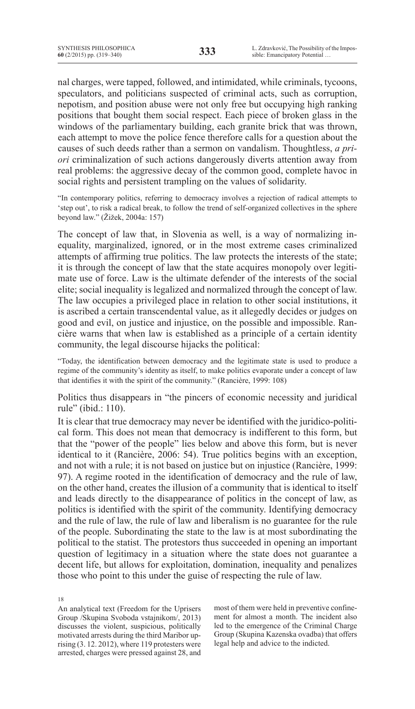nal charges, were tapped, followed, and intimidated, while criminals, tycoons, speculators, and politicians suspected of criminal acts, such as corruption, nepotism, and position abuse were not only free but occupying high ranking positions that bought them social respect. Each piece of broken glass in the windows of the parliamentary building, each granite brick that was thrown, each attempt to move the police fence therefore calls for a question about the causes of such deeds rather than a sermon on vandalism. Thoughtless, *a priori* criminalization of such actions dangerously diverts attention away from real problems: the aggressive decay of the common good, complete havoc in social rights and persistent trampling on the values of solidarity.

"In contemporary politics, referring to democracy involves a rejection of radical attempts to 'step out', to risk a radical break, to follow the trend of self-organized collectives in the sphere beyond law." (Žižek, 2004a: 157)

The concept of law that, in Slovenia as well, is a way of normalizing inequality, marginalized, ignored, or in the most extreme cases criminalized attempts of affirming true politics. The law protects the interests of the state; it is through the concept of law that the state acquires monopoly over legitimate use of force. Law is the ultimate defender of the interests of the social elite; social inequality is legalized and normalized through the concept of law. The law occupies a privileged place in relation to other social institutions, it is ascribed a certain transcendental value, as it allegedly decides or judges on good and evil, on justice and injustice, on the possible and impossible. Rancière warns that when law is established as a principle of a certain identity community, the legal discourse hijacks the political:

"Today, the identification between democracy and the legitimate state is used to produce a regime of the community's identity as itself, to make politics evaporate under a concept of law that identifies it with the spirit of the community." (Rancière, 1999: 108)

Politics thus disappears in "the pincers of economic necessity and juridical rule" (ibid.: 110).

It is clear that true democracy may never be identified with the juridico-political form. This does not mean that democracy is indifferent to this form, but that the "power of the people" lies below and above this form, but is never identical to it (Rancière, 2006: 54). True politics begins with an exception, and not with a rule; it is not based on justice but on injustice (Rancière, 1999: 97). A regime rooted in the identification of democracy and the rule of law, on the other hand, creates the illusion of a community that is identical to itself and leads directly to the disappearance of politics in the concept of law, as politics is identified with the spirit of the community. Identifying democracy and the rule of law, the rule of law and liberalism is no guarantee for the rule of the people. Subordinating the state to the law is at most subordinating the political to the statist. The protestors thus succeeded in opening an important question of legitimacy in a situation where the state does not guarantee a decent life, but allows for exploitation, domination, inequality and penalizes those who point to this under the guise of respecting the rule of law.

18

An analytical text (Freedom for the Uprisers Group /Skupina Svoboda vstajnikom/, 2013) discusses the violent, suspicious, politically motivated arrests during the third Maribor uprising (3. 12. 2012), where 119 protesters were arrested, charges were pressed against 28, and

most of them were held in preventive confinement for almost a month. The incident also led to the emergence of the Criminal Charge Group (Skupina Kazenska ovadba) that offers legal help and advice to the indicted.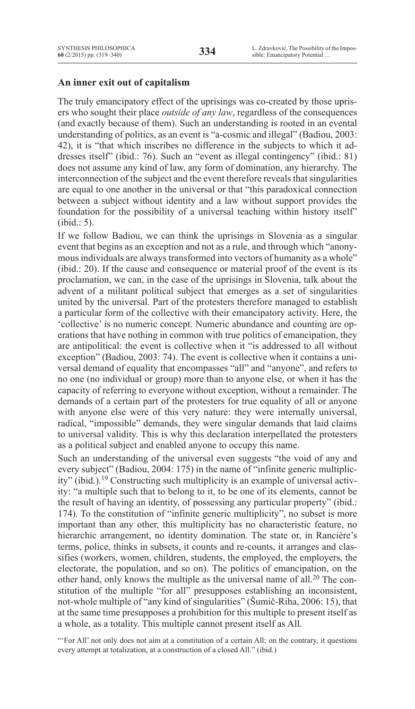## **An inner exit out of capitalism**

The truly emancipatory effect of the uprisings was co-created by those uprisers who sought their place *outside of any law*, regardless of the consequences (and exactly because of them). Such an understanding is rooted in an evental understanding of politics, as an event is "a-cosmic and illegal" (Badiou, 2003: 42), it is "that which inscribes no difference in the subjects to which it addresses itself" (ibid.: 76). Such an "event as illegal contingency" (ibid.: 81) does not assume any kind of law, any form of domination, any hierarchy. The interconnection of the subject and the event therefore reveals that singularities are equal to one another in the universal or that "this paradoxical connection between a subject without identity and a law without support provides the foundation for the possibility of a universal teaching within history itself" (ibid.: 5).

If we follow Badiou, we can think the uprisings in Slovenia as a singular event that begins as an exception and not as a rule, and through which "anonymous individuals are always transformed into vectors of humanity as a whole" (ibid.: 20). If the cause and consequence or material proof of the event is its proclamation, we can, in the case of the uprisings in Slovenia, talk about the advent of a militant political subject that emerges as a set of singularities united by the universal. Part of the protesters therefore managed to establish a particular form of the collective with their emancipatory activity. Here, the 'collective' is no numeric concept. Numeric abundance and counting are operations that have nothing in common with true politics of emancipation, they are antipolitical: the event is collective when it "is addressed to all without exception" (Badiou, 2003: 74). The event is collective when it contains a universal demand of equality that encompasses "all" and "anyone", and refers to no one (no individual or group) more than to anyone else, or when it has the capacity of referring to everyone without exception, without a remainder. The demands of a certain part of the protesters for true equality of all or anyone with anyone else were of this very nature: they were internally universal, radical, "impossible" demands, they were singular demands that laid claims to universal validity. This is why this declaration interpellated the protesters as a political subject and enabled anyone to occupy this name.

Such an understanding of the universal even suggests "the void of any and every subject" (Badiou, 2004: 175) in the name of "infinite generic multiplicity" (ibid.).19 Constructing such multiplicity is an example of universal activity: "a multiple such that to belong to it, to be one of its elements, cannot be the result of having an identity, of possessing any particular property" (ibid.: 174). To the constitution of "infinite generic multiplicity", no subset is more important than any other, this multiplicity has no characteristic feature, no hierarchic arrangement, no identity domination. The state or, in Rancière's terms, police, thinks in subsets, it counts and re-counts, it arranges and classifies (workers, women, children, students, the employed, the employers, the electorate, the population, and so on). The politics of emancipation, on the other hand, only knows the multiple as the universal name of all.<sup>20</sup> The constitution of the multiple "for all" presupposes establishing an inconsistent, not-whole multiple of "any kind of singularities" (Šumič-Riha, 2006: 15), that at the same time presupposes a prohibition for this multiple to present itself as a whole, as a totality. This multiple cannot present itself as All.

"'For All' not only does not aim at a constitution of a certain All; on the contrary, it questions every attempt at totalization, at a construction of a closed All." (ibid.)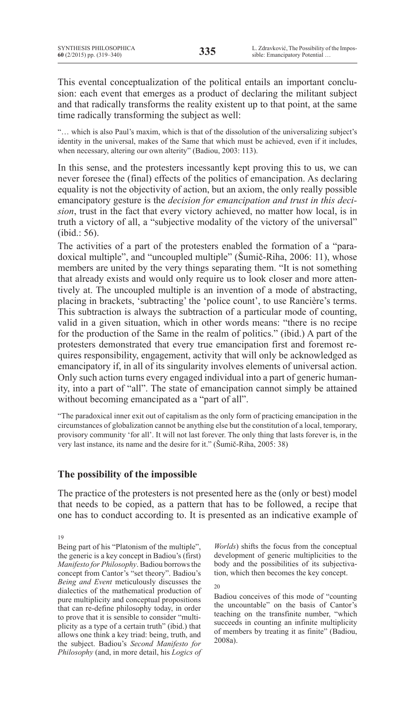This evental conceptualization of the political entails an important conclusion: each event that emerges as a product of declaring the militant subject and that radically transforms the reality existent up to that point, at the same time radically transforming the subject as well:

"… which is also Paul's maxim, which is that of the dissolution of the universalizing subject's identity in the universal, makes of the Same that which must be achieved, even if it includes, when necessary, altering our own alterity" (Badiou, 2003: 113).

In this sense, and the protesters incessantly kept proving this to us, we can never foresee the (final) effects of the politics of emancipation. As declaring equality is not the objectivity of action, but an axiom, the only really possible emancipatory gesture is the *decision for emancipation and trust in this decision*, trust in the fact that every victory achieved, no matter how local, is in truth a victory of all, a "subjective modality of the victory of the universal" (ibid.: 56).

The activities of a part of the protesters enabled the formation of a "paradoxical multiple", and "uncoupled multiple" (Šumič-Riha, 2006: 11), whose members are united by the very things separating them. "It is not something that already exists and would only require us to look closer and more attentively at. The uncoupled multiple is an invention of a mode of abstracting, placing in brackets, 'subtracting' the 'police count', to use Rancière's terms. This subtraction is always the subtraction of a particular mode of counting, valid in a given situation, which in other words means: "there is no recipe for the production of the Same in the realm of politics." (ibid.) A part of the protesters demonstrated that every true emancipation first and foremost requires responsibility, engagement, activity that will only be acknowledged as emancipatory if, in all of its singularity involves elements of universal action. Only such action turns every engaged individual into a part of generic humanity, into a part of "all". The state of emancipation cannot simply be attained without becoming emancipated as a "part of all".

"The paradoxical inner exit out of capitalism as the only form of practicing emancipation in the circumstances of globalization cannot be anything else but the constitution of a local, temporary, provisory community 'for all'. It will not last forever. The only thing that lasts forever is, in the very last instance, its name and the desire for it." (Šumič-Riha, 2005: 38)

# **The possibility of the impossible**

The practice of the protesters is not presented here as the (only or best) model that needs to be copied, as a pattern that has to be followed, a recipe that one has to conduct according to. It is presented as an indicative example of

19

Being part of his "Platonism of the multiple", the generic is a key concept in Badiou's (first) *Manifesto for Philosophy*. Badiou borrows the concept from Cantor's "set theory". Badiou's *Being and Event* meticulously discusses the dialectics of the mathematical production of pure multiplicity and conceptual propositions that can re-define philosophy today, in order to prove that it is sensible to consider "multiplicity as a type of a certain truth" (ibid.) that allows one think a key triad: being, truth, and the subject. Badiou's *Second Manifesto for Philosophy* (and, in more detail, his *Logics of* 

*Worlds*) shifts the focus from the conceptual development of generic multiplicities to the body and the possibilities of its subjectivation, which then becomes the key concept.

20

Badiou conceives of this mode of "counting the uncountable" on the basis of Cantor's teaching on the transfinite number, "which succeeds in counting an infinite multiplicity of members by treating it as finite" (Badiou, 2008a).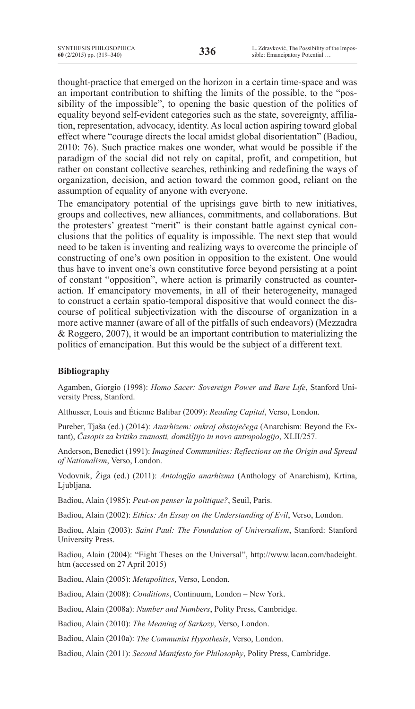thought-practice that emerged on the horizon in a certain time-space and was an important contribution to shifting the limits of the possible, to the "possibility of the impossible", to opening the basic question of the politics of equality beyond self-evident categories such as the state, sovereignty, affiliation, representation, advocacy, identity. As local action aspiring toward global effect where "courage directs the local amidst global disorientation" (Badiou, 2010: 76). Such practice makes one wonder, what would be possible if the paradigm of the social did not rely on capital, profit, and competition, but rather on constant collective searches, rethinking and redefining the ways of organization, decision, and action toward the common good, reliant on the assumption of equality of anyone with everyone.

The emancipatory potential of the uprisings gave birth to new initiatives, groups and collectives, new alliances, commitments, and collaborations. But the protesters' greatest "merit" is their constant battle against cynical conclusions that the politics of equality is impossible. The next step that would need to be taken is inventing and realizing ways to overcome the principle of constructing of one's own position in opposition to the existent. One would thus have to invent one's own constitutive force beyond persisting at a point of constant "opposition", where action is primarily constructed as counteraction. If emancipatory movements, in all of their heterogeneity, managed to construct a certain spatio-temporal dispositive that would connect the discourse of political subjectivization with the discourse of organization in a more active manner (aware of all of the pitfalls of such endeavors) (Mezzadra & Roggero, 2007), it would be an important contribution to materializing the politics of emancipation. But this would be the subject of a different text.

## **Bibliography**

Agamben, Giorgio (1998): *Homo Sacer: Sovereign Power and Bare Life*, Stanford University Press, Stanford.

Althusser, Louis and Étienne Balibar (2009): *Reading Capital*, Verso, London.

Pureber, Tjaša (ed.) (2014): *Anarhizem: onkraj obstoječega* (Anarchism: Beyond the Extant), *Časopis za kritiko znanosti, domišljijo in novo antropologijo*, XLII/257.

Anderson, Benedict (1991): *Imagined Communities: Reflections on the Origin and Spread of Nationalism*, Verso, London.

Vodovnik, Žiga (ed.) (2011): *Antologija anarhizma* (Anthology of Anarchism), Krtina, Ljubljana.

Badiou, Alain (1985): *Peut-on penser la politique?*, Seuil, Paris.

Badiou, Alain (2002): *Ethics: An Essay on the Understanding of Evil*, Verso, London.

Badiou, Alain (2003): *Saint Paul: The Foundation of Universalism*, Stanford: Stanford University Press.

Badiou, Alain (2004): "Eight Theses on the Universal", http://www.lacan.com/badeight. htm (accessed on 27 April 2015)

Badiou, Alain (2005): *Metapolitics*, Verso, London.

Badiou, Alain (2008): *Conditions*, Continuum, London – New York.

Badiou, Alain (2008a): *Number and Numbers*, Polity Press, Cambridge.

Badiou, Alain (2010): *The Meaning of Sarkozy*, Verso, London.

Badiou, Alain (2010a): *The Communist Hypothesis*, Verso, London.

Badiou, Alain (2011): *Second Manifesto for Philosophy*, Polity Press, Cambridge.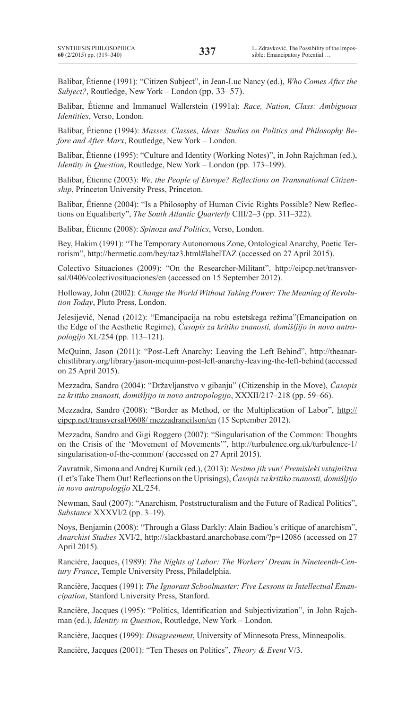Balibar, Étienne (1991): "Citizen Subject", in Jean-Luc Nancy (ed.), *Who Comes After the Subject?*, Routledge, New York – London (pp. 33–57).

Balibar, Étienne and Immanuel Wallerstein (1991a): *Race, Nation, Class: Ambiguous Identities*, Verso, London.

Balibar, Étienne (1994): *Masses, Classes, Ideas: Studies on Politics and Philosophy Before and After Marx*, Routledge, New York – London.

Balibar, Étienne (1995): "Culture and Identity (Working Notes)", in John Rajchman (ed.), *Identity in Question*, Routledge, New York – London (pp. 173–199).

Balibar, Étienne (2003): *We, the People of Europe? Reflections on Transnational Citizenship*, Princeton University Press, Princeton.

Balibar, Étienne (2004): "Is a Philosophy of Human Civic Rights Possible? New Reflections on Equaliberty", *The South Atlantic Quarterly* CIII/2–3 (pp. 311–322).

Balibar, Étienne (2008): *Spinoza and Politics*, Verso, London.

Bey, Hakim (1991): "The Temporary Autonomous Zone, Ontological Anarchy, Poetic Terrorism", http://hermetic.com/bey/taz3.html#labelTAZ (accessed on 27 April 2015).

Colectivo Situaciones (2009): "On the Researcher-Militant", http://eipcp.net/transversal/0406/colectivosituaciones/en (accessed on 15 September 2012).

Holloway, John (2002): *Change the World Without Taking Power: The Meaning of Revolution Today*, Pluto Press, London.

Jelesijević, Nenad (2012): "Emancipacija na robu estetskega režima"(Emancipation on the Edge of the Aesthetic Regime), *Časopis za kritiko znanosti, domišljijo in novo antropologijo* XL/254 (pp. 113–121).

McQuinn, Jason (2011): "Post-Left Anarchy: Leaving the Left Behind", http://theanarchistlibrary.org/library/jason-mcquinn-post-left-anarchy-leaving-the-left-behind (accessed on 25 April 2015).

Mezzadra, Sandro (2004): "Državljanstvo v gibanju" (Citizenship in the Move), *Časopis za kritiko znanosti, domišljijo in novo antropologijo*, XXXII/217–218 (pp. 59–66).

Mezzadra, Sandro (2008): "Border as Method, or the Multiplication of Labor", http:// eipcp.net/transversal/0608/ mezzadraneilson/en (15 September 2012).

Mezzadra, Sandro and Gigi Roggero (2007): "Singularisation of the Common: Thoughts on the Crisis of the 'Movement of Movements'", http://turbulence.org.uk/turbulence-1/ singularisation-of-the-common/ (accessed on 27 April 2015).

Zavratnik, Simona and Andrej Kurnik (ed.), (2013): *Nesimo jih vun! Premisleki vstajništva*  (Let'sTakeThem Out!Reflections on the Uprisings),*Časopis za kritiko znanosti, domišljijo in novo antropologijo* XL/254.

Newman, Saul (2007): "Anarchism, Poststructuralism and the Future of Radical Politics", *Substance* XXXVI/2 (pp. 3–19).

Noys, Benjamin (2008): "Through a Glass Darkly: Alain Badiou's critique of anarchism", *Anarchist Studies* XVI/2, http://slackbastard.anarchobase.com/?p=12086 (accessed on 27 April 2015).

Rancière, Jacques, (1989): *The Nights of Labor: The Workers' Dream in Nineteenth-Century France*, Temple University Press, Philadelphia.

Rancière, Jacques (1991): *The Ignorant Schoolmaster: Five Lessons in Intellectual Emancipation*, Stanford University Press, Stanford.

Rancière, Jacques (1995): "Politics, Identification and Subjectivization", in John Rajchman (ed.), *Identity in Question*, Routledge, New York – London.

Rancière, Jacques (1999): *Disagreement*, University of Minnesota Press, Minneapolis.

Rancière, Jacques (2001): "Ten Theses on Politics", *Theory & Event* V/3.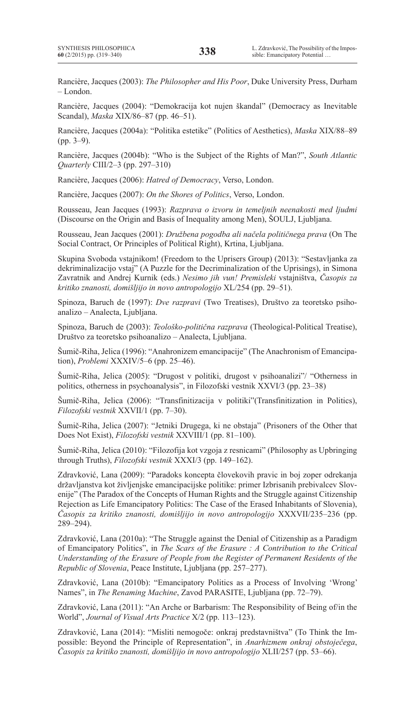Rancière, Jacques (2003): *The Philosopher and His Poor*, Duke University Press, Durham – London.

Rancière, Jacques (2004): "Demokracija kot nujen škandal" (Democracy as Inevitable Scandal), *Maska* XIX/86–87 (pp. 46–51).

Rancière, Jacques (2004a): "Politika estetike" (Politics of Aesthetics), *Maska* XIX/88–89 (pp. 3–9).

Rancière, Jacques (2004b): "Who is the Subject of the Rights of Man?", *South Atlantic Quarterly* CIII/2–3 (pp. 297–310)

Rancière, Jacques (2006): *Hatred of Democracy*, Verso, London.

Rancière, Jacques (2007): *On the Shores of Politics*, Verso, London.

Rousseau, Jean Jacques (1993): *Razprava o izvoru in temeljnih neenakosti med ljudmi*  (Discourse on the Origin and Basis of Inequality among Men), ŠOULJ, Ljubljana.

Rousseau, Jean Jacques (2001): *Družbena pogodba ali načela političnega prava* (On The Social Contract, Or Principles of Political Right), Krtina, Ljubljana.

Skupina Svoboda vstajnikom! (Freedom to the Uprisers Group) (2013): "Sestavljanka za dekriminalizacijo vstaj" (A Puzzle for the Decriminalization of the Uprisings), in Simona Zavratnik and Andrej Kurnik (eds.) *Nesimo jih vun! Premisleki* vstajništva, *Časopis za kritiko znanosti, domišljijo in novo antropologijo* XL/254 (pp. 29–51).

Spinoza, Baruch de (1997): *Dve razpravi* (Two Treatises), Društvo za teoretsko psihoanalizo – Analecta, Ljubljana.

Spinoza, Baruch de (2003): *Teološko-politična razprava* (Theological-Political Treatise), Društvo za teoretsko psihoanalizo – Analecta, Ljubljana.

Šumič-Riha, Jelica (1996): "Anahronizem emancipacije" (The Anachronism of Emancipation), *Problemi* XXXIV/5–6 (pp. 25–46).

Šumič-Riha, Jelica (2005): "Drugost v politiki, drugost v psihoanalizi"/ "Otherness in politics, otherness in psychoanalysis", in Filozofski vestnik XXVI/3 (pp. 23–38)

Šumič-Riha, Jelica (2006): "Transfinitizacija v politiki"(Transfinitization in Politics), *Filozofski vestnik* XXVII/1 (pp. 7–30).

Šumič-Riha, Jelica (2007): "Jetniki Drugega, ki ne obstaja" (Prisoners of the Other that Does Not Exist), *Filozofski vestnik* XXVIII/1 (pp. 81–100).

Šumič-Riha, Jelica (2010): "Filozofija kot vzgoja z resnicami" (Philosophy as Upbringing through Truths), *Filozofski vestnik* XXXI/3 (pp. 149–162).

Zdravković, Lana (2009): "Paradoks koncepta človekovih pravic in boj zoper odrekanja državljanstva kot življenjske emancipacijske politike: primer Izbrisanih prebivalcev Slovenije" (The Paradox of the Concepts of Human Rights and the Struggle against Citizenship Rejection as Life Emancipatory Politics: The Case of the Erased Inhabitants of Slovenia), *Časopis za kritiko znanosti, domišljijo in novo antropologijo* XXXVII/235–236 (pp. 289–294).

Zdravković, Lana (2010a): "The Struggle against the Denial of Citizenship as a Paradigm of Emancipatory Politics", in *The Scars of the Erasure : A Contribution to the Critical Understanding of the Erasure of People from the Register of Permanent Residents of the Republic of Slovenia*, Peace Institute, Ljubljana (pp. 257–277).

Zdravković, Lana (2010b): "Emancipatory Politics as a Process of Involving 'Wrong' Names", in *The Renaming Machine*, Zavod PARASITE, Ljubljana (pp. 72–79).

Zdravković, Lana (2011): "An Arche or Barbarism: The Responsibility of Being of/in the World", *Journal of Visual Arts Practice* X/2 (pp. 113–123).

Zdravković, Lana (2014): "Misliti nemogoče: onkraj predstavništva" (To Think the Impossible: Beyond the Principle of Representation", in *Anarhizmem onkraj obstoječega*, *Časopis za kritiko znanosti, domišljijo in novo antropologijo* XLII/257 (pp. 53–66).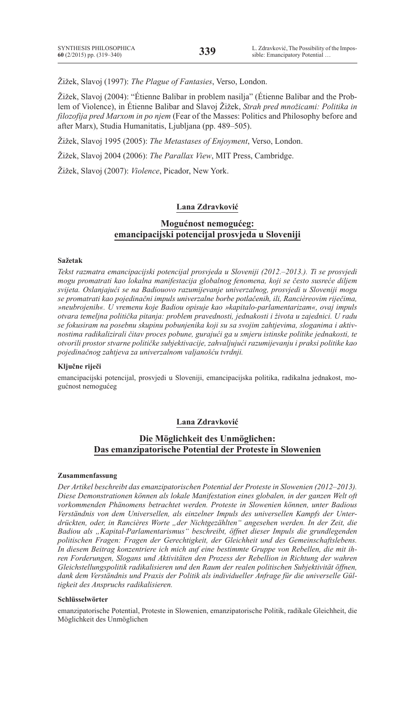Žižek, Slavoj (1997): *The Plague of Fantasies*, Verso, London.

Žižek, Slavoj (2004): "Étienne Balibar in problem nasilja" (Étienne Balibar and the Problem of Violence), in Étienne Balibar and Slavoj Žižek, *Strah pred množicami: Politika in filozofija pred Marxom in po njem* (Fear of the Masses: Politics and Philosophy before and after Marx), Studia Humanitatis, Ljubljana (pp. 489–505).

Žižek, Slavoj 1995 (2005): *The Metastases of Enjoyment*, Verso, London.

Žižek, Slavoj 2004 (2006): *The Parallax View*, MIT Press, Cambridge.

Žižek, Slavoj (2007): *Violence*, Picador, New York.

### **Lana Zdravković**

## **Mogućnost nemogućeg: emancipacijski potencijal prosvjeda u Sloveniji**

### **Sažetak**

*Tekst razmatra emancipacijski potencijal prosvjeda u Sloveniji (2012.–2013.). Ti se prosvjedi mogu promatrati kao lokalna manifestacija globalnog fenomena, koji se često susreće diljem svijeta. Oslanjajući se na Badiouovo razumijevanje univerzalnog, prosvjedi u Sloveniji mogu se promatrati kao pojedinačni impuls univerzalne borbe potlačenih, ili, Rancièreovim riječima, »neubrojenih«. U vremenu koje Badiou opisuje kao »kapitalo-parlamentarizam«, ovaj impuls otvara temeljna politička pitanja: problem pravednosti, jednakosti i života u zajednici. U radu se fokusiram na posebnu skupinu pobunjenika koji su sa svojim zahtjevima, sloganima i aktivnostima radikalizirali čitav proces pobune, gurajući ga u smjeru istinske politike jednakosti, te otvorili prostor stvarne političke subjektivacije, zahvaljujući razumijevanju i praksi politike kao pojedinačnog zahtjeva za univerzalnom valjanošću tvrdnji.* 

#### **Ključne riječi**

emancipacijski potencijal, prosvjedi u Sloveniji, emancipacijska politika, radikalna jednakost, mogućnost nemogućeg

### **Lana Zdravković**

## **Die Möglichkeit des Unmöglichen: Das emanzipatorische Potential der Proteste in Slowenien**

### **Zusammenfassung**

*Der Artikel beschreibt das emanzipatorischen Potential der Proteste in Slowenien (2012–2013). Diese Demonstrationen können als lokale Manifestation eines globalen, in der ganzen Welt oft vorkommenden Phänomens betrachtet werden. Proteste in Slowenien können, unter Badious*  Verständnis von dem Universellen, als einzelner Impuls des universellen Kampfs der Unter*drückten, oder, in Rancières Worte "der nichtgezählten" angesehen werden. In der Zeit, die Badiou als "Kapital-Parlamentarismus" beschreibt, öffnet dieser Impuls die grundlegenden politischen Fragen: Fragen der Gerechtigkeit, der Gleichheit und des Gemeinschaftslebens. In diesem Beitrag konzentriere ich mich auf eine bestimmte Gruppe von Rebellen, die mit ihren Forderungen, Slogans und Aktivitäten den Prozess der Rebellion in Richtung der wahren Gleichstellungspolitik radikalisieren und den Raum der realen politischen Subjektivität öffnen, dank dem Verständnis und Praxis der Politik als individueller Anfrage für die universelle Gültigkeit des Anspruchs radikalisieren.*

#### **Schlüsselwörter**

emanzipatorische Potential, Proteste in Slowenien, emanzipatorische Politik, radikale Gleichheit, die Möglichkeit des Unmöglichen